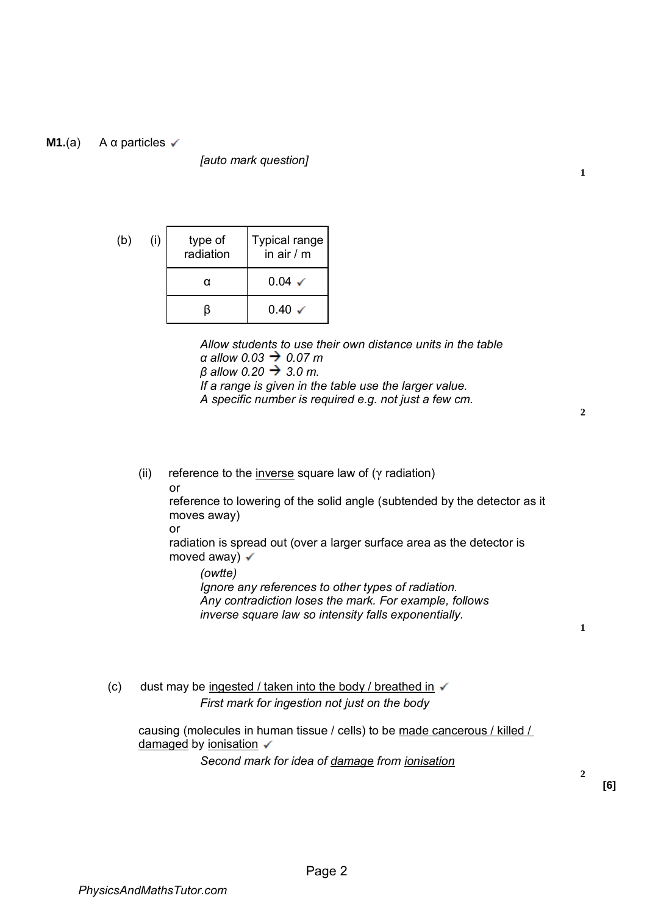## **M1.**(a) A α particles <del>V</del>

*[auto mark question]* 

(b) (i) type of radiation Typical range in air / m  $\alpha$  0.04  $\checkmark$  $\beta$  0.40  $\checkmark$ 

> *Allow students to use their own distance units in the table α allow 0.03 → 0.07 m β allow 0.20 3.0 m. If a range is given in the table use the larger value. A specific number is required e.g. not just a few cm.*

(ii) reference to the inverse square law of ( $\gamma$  radiation)

or

reference to lowering of the solid angle (subtended by the detector as it moves away)

or

radiation is spread out (over a larger surface area as the detector is moved away)  $\checkmark$ 

*(owtte) Ignore any references to other types of radiation. Any contradiction loses the mark. For example, follows inverse square law so intensity falls exponentially.* 

(c) dust may be ingested / taken into the body / breathed in  $\checkmark$ *First mark for ingestion not just on the body* 

causing (molecules in human tissue / cells) to be made cancerous / killed / damaged by ionisation  $\checkmark$ 

*Second mark for idea of damage from ionisation*

**2**

**1**

**2**

**1**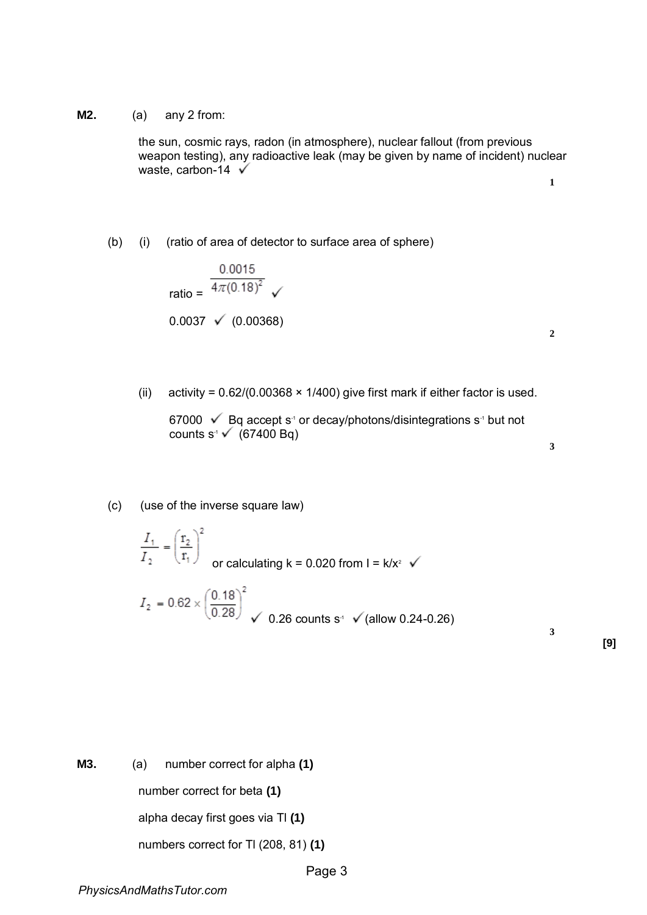**M2.** (a) any 2 from:

the sun, cosmic rays, radon (in atmosphere), nuclear fallout (from previous weapon testing), any radioactive leak (may be given by name of incident) nuclear waste, carbon-14  $\checkmark$ 

**1** 

## (b) (i) (ratio of area of detector to surface area of sphere)

ratio = 
$$
\frac{0.0015}{4\pi (0.18)^2} \sqrt{0.0037} \sqrt{0.00368}
$$

**2** 

(ii) activity =  $0.62/(0.00368 \times 1/400)$  give first mark if either factor is used.

67000  $\checkmark$  Bq accept s<sup>-1</sup> or decay/photons/disintegrations s<sup>-1</sup> but not counts  $s^4 \checkmark$  (67400 Bq)

## **3**

**3** 

## (c) (use of the inverse square law)

$$
\frac{I_1}{I_2} = \left(\frac{r_2}{r_1}\right)^2
$$
 or calculating k = 0.020 from l = k/x<sup>2</sup>  $\checkmark$ 

$$
I_2 = 0.62 \times \left(\frac{0.18}{0.28}\right)^2 \checkmark
$$
 0.26 counts s<sup>-1</sup>  $\checkmark$  (allow 0.24-0.26)

**[9]** 

**M3.** (a) number correct for alpha **(1)**  number correct for beta **(1)**  alpha decay first goes via Tl **(1)**  numbers correct for Tl (208, 81) **(1)**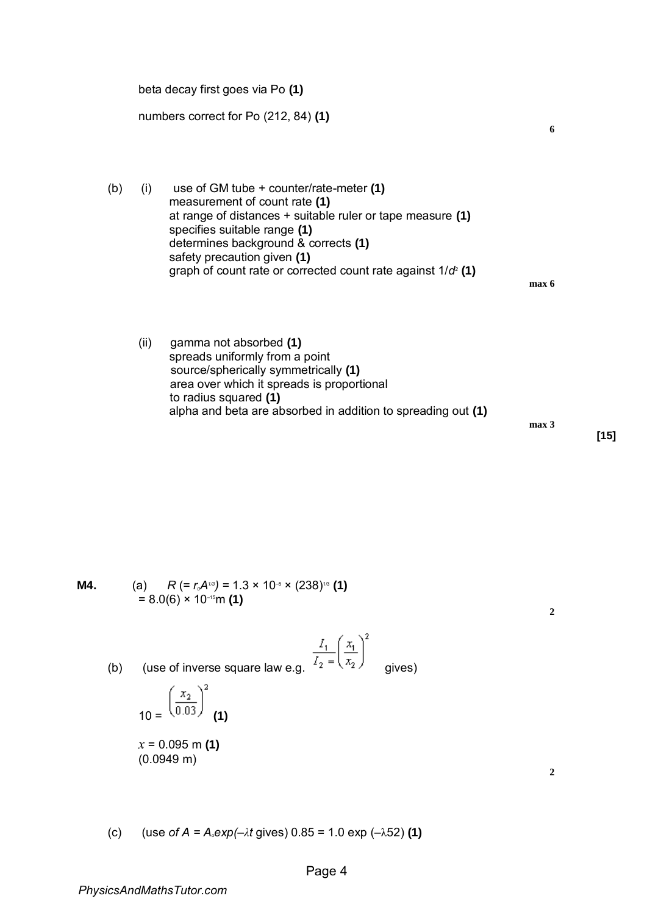beta decay first goes via Po **(1)** 

numbers correct for Po (212, 84) **(1)** 

(b) (i) use of GM tube + counter/rate-meter **(1)**  measurement of count rate **(1)**  at range of distances + suitable ruler or tape measure **(1)**  specifies suitable range **(1)**  determines background & corrects **(1)**  safety precaution given **(1)**  graph of count rate or corrected count rate against 1/*d 2* **(1)** 

**max 6** 

**6** 

(ii) gamma not absorbed **(1)**  spreads uniformly from a point source/spherically symmetrically **(1)**  area over which it spreads is proportional to radius squared **(1)**  alpha and beta are absorbed in addition to spreading out **(1)** 

**max 3** 

**[15]** 

**M4.** (a)  $R = r_0 A^{1/3} = 1.3 \times 10^{-5} \times (238)^{1/3}$  (1)  $= 8.0(6) \times 10^{-15}$  m (1)

(b) (use of inverse square law e.g. 
$$
\frac{I_1}{I_2} = \left(\frac{x_1}{x_2}\right)^2
$$
 gives)  

$$
10 = \left(\frac{x_2}{0.03}\right)^2
$$
 (1)

 $x = 0.095$  m (1) (0.0949 m)

**2** 

**2** 

(c) (use *of A = A<sub>c</sub>exp(–* $\lambda t$  gives) 0.85 = 1.0 exp (– $\lambda$ 52) (1)